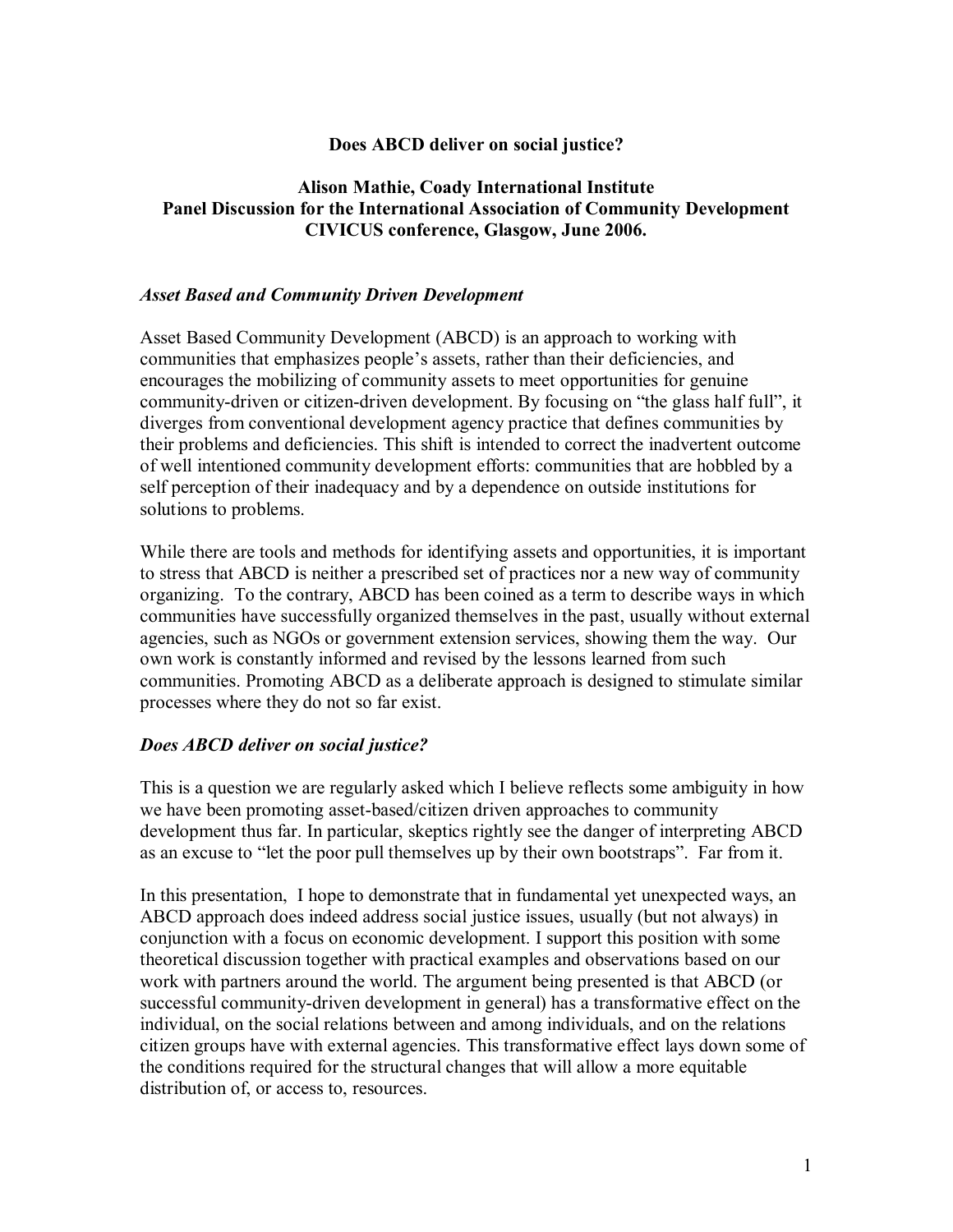# **Does ABCD deliver on social justice?**

# **Alison Mathie, Coady International Institute Panel Discussion for the International Association of Community Development CIVICUS conference, Glasgow, June 2006.**

### *Asset Based and Community Driven Development*

Asset Based Community Development (ABCD) is an approach to working with communities that emphasizes people's assets, rather than their deficiencies, and encourages the mobilizing of community assets to meet opportunities for genuine community-driven or citizen-driven development. By focusing on "the glass half full", it diverges from conventional development agency practice that defines communities by their problems and deficiencies. This shift is intended to correct the inadvertent outcome of well intentioned community development efforts: communities that are hobbled by a self perception of their inadequacy and by a dependence on outside institutions for solutions to problems.

While there are tools and methods for identifying assets and opportunities, it is important to stress that ABCD is neither a prescribed set of practices nor a new way of community organizing. To the contrary, ABCD has been coined as a term to describe ways in which communities have successfully organized themselves in the past, usually without external agencies, such as NGOs or government extension services, showing them the way. Our own work is constantly informed and revised by the lessons learned from such communities. Promoting ABCD as a deliberate approach is designed to stimulate similar processes where they do not so far exist.

### *Does ABCD deliver on social justice?*

This is a question we are regularly asked which I believe reflects some ambiguity in how we have been promoting asset-based/citizen driven approaches to community development thus far. In particular, skeptics rightly see the danger of interpreting ABCD as an excuse to "let the poor pull themselves up by their own bootstraps". Far from it.

In this presentation, I hope to demonstrate that in fundamental yet unexpected ways, an ABCD approach does indeed address social justice issues, usually (but not always) in conjunction with a focus on economic development. I support this position with some theoretical discussion together with practical examples and observations based on our work with partners around the world. The argument being presented is that ABCD (or successful community-driven development in general) has a transformative effect on the individual, on the social relations between and among individuals, and on the relations citizen groups have with external agencies. This transformative effect lays down some of the conditions required for the structural changes that will allow a more equitable distribution of, or access to, resources.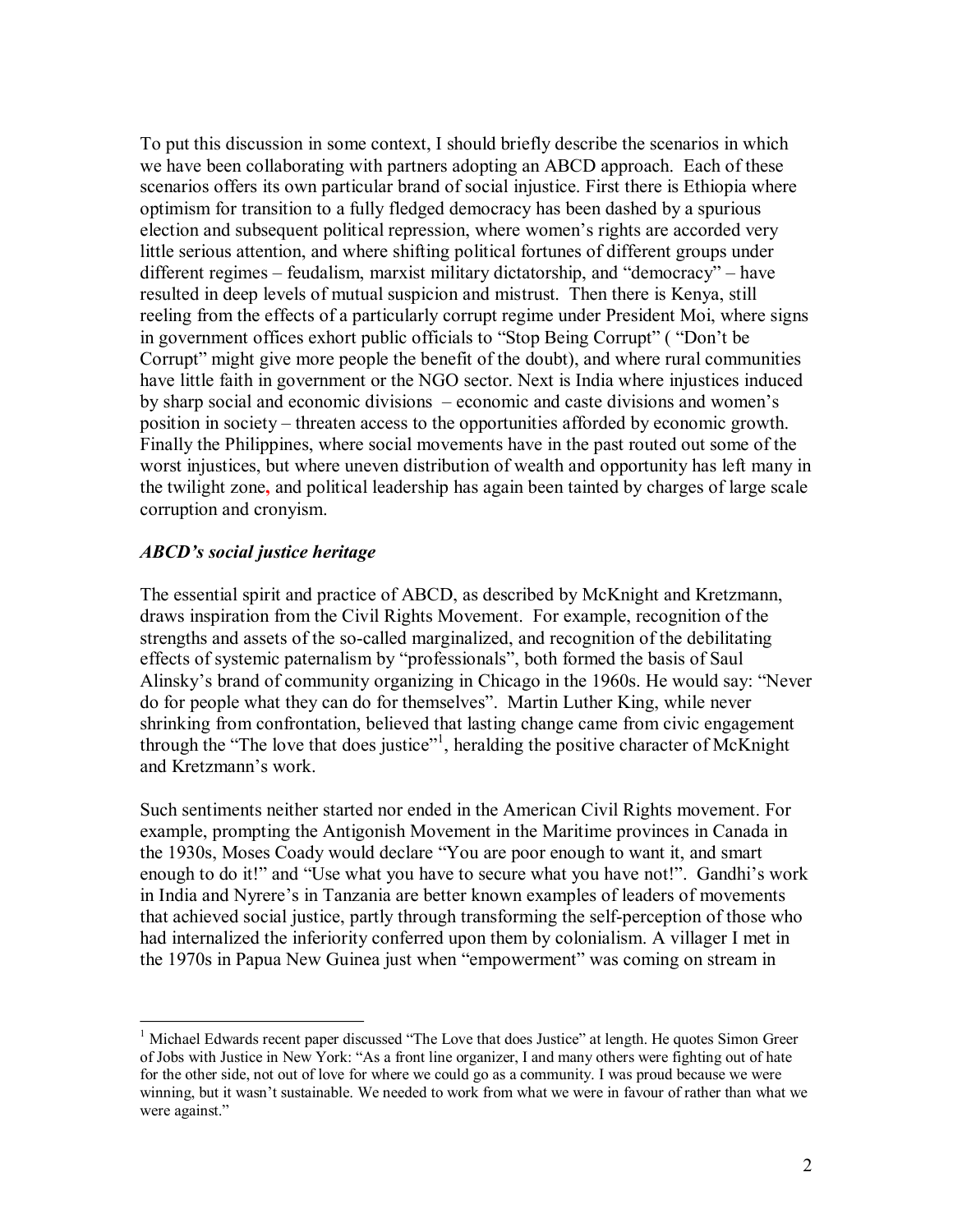To put this discussion in some context, I should briefly describe the scenarios in which we have been collaborating with partners adopting an ABCD approach. Each of these scenarios offers its own particular brand of social injustice. First there is Ethiopia where optimism for transition to a fully fledged democracy has been dashed by a spurious election and subsequent political repression, where women's rights are accorded very little serious attention, and where shifting political fortunes of different groups under different regimes – feudalism, marxist military dictatorship, and "democracy" – have resulted in deep levels of mutual suspicion and mistrust. Then there is Kenya, still reeling from the effects of a particularly corrupt regime under President Moi, where signs in government offices exhort public officials to "Stop Being Corrupt" ( "Don't be Corrupt" might give more people the benefit of the doubt), and where rural communities have little faith in government or the NGO sector. Next is India where injustices induced by sharp social and economic divisions – economic and caste divisions and women's position in society – threaten access to the opportunities afforded by economic growth. Finally the Philippines, where social movements have in the past routed out some of the worst injustices, but where uneven distribution of wealth and opportunity has left many in the twilight zone**,** and political leadership has again been tainted by charges of large scale corruption and cronyism.

### *ABCD's social justice heritage*

The essential spirit and practice of ABCD, as described by McKnight and Kretzmann, draws inspiration from the Civil Rights Movement. For example, recognition of the strengths and assets of the so-called marginalized, and recognition of the debilitating effects of systemic paternalism by "professionals", both formed the basis of Saul Alinsky's brand of community organizing in Chicago in the 1960s. He would say: "Never do for people what they can do for themselves". Martin Luther King, while never shrinking from confrontation, believed that lasting change came from civic engagement through the "The love that does justice"<sup>1</sup>, heralding the positive character of McKnight and Kretzmann's work.

Such sentiments neither started nor ended in the American Civil Rights movement. For example, prompting the Antigonish Movement in the Maritime provinces in Canada in the 1930s, Moses Coady would declare "You are poor enough to want it, and smart enough to do it!" and "Use what you have to secure what you have not!". Gandhi's work in India and Nyrere's in Tanzania are better known examples of leaders of movements that achieved social justice, partly through transforming the self-perception of those who had internalized the inferiority conferred upon them by colonialism. A villager I met in the 1970s in Papua New Guinea just when "empowerment" was coming on stream in

 $<sup>1</sup>$  Michael Edwards recent paper discussed "The Love that does Justice" at length. He quotes Simon Greer</sup> of Jobs with Justice in New York: "As a front line organizer, I and many others were fighting out of hate for the other side, not out of love for where we could go as a community. I was proud because we were winning, but it wasn't sustainable. We needed to work from what we were in favour of rather than what we were against."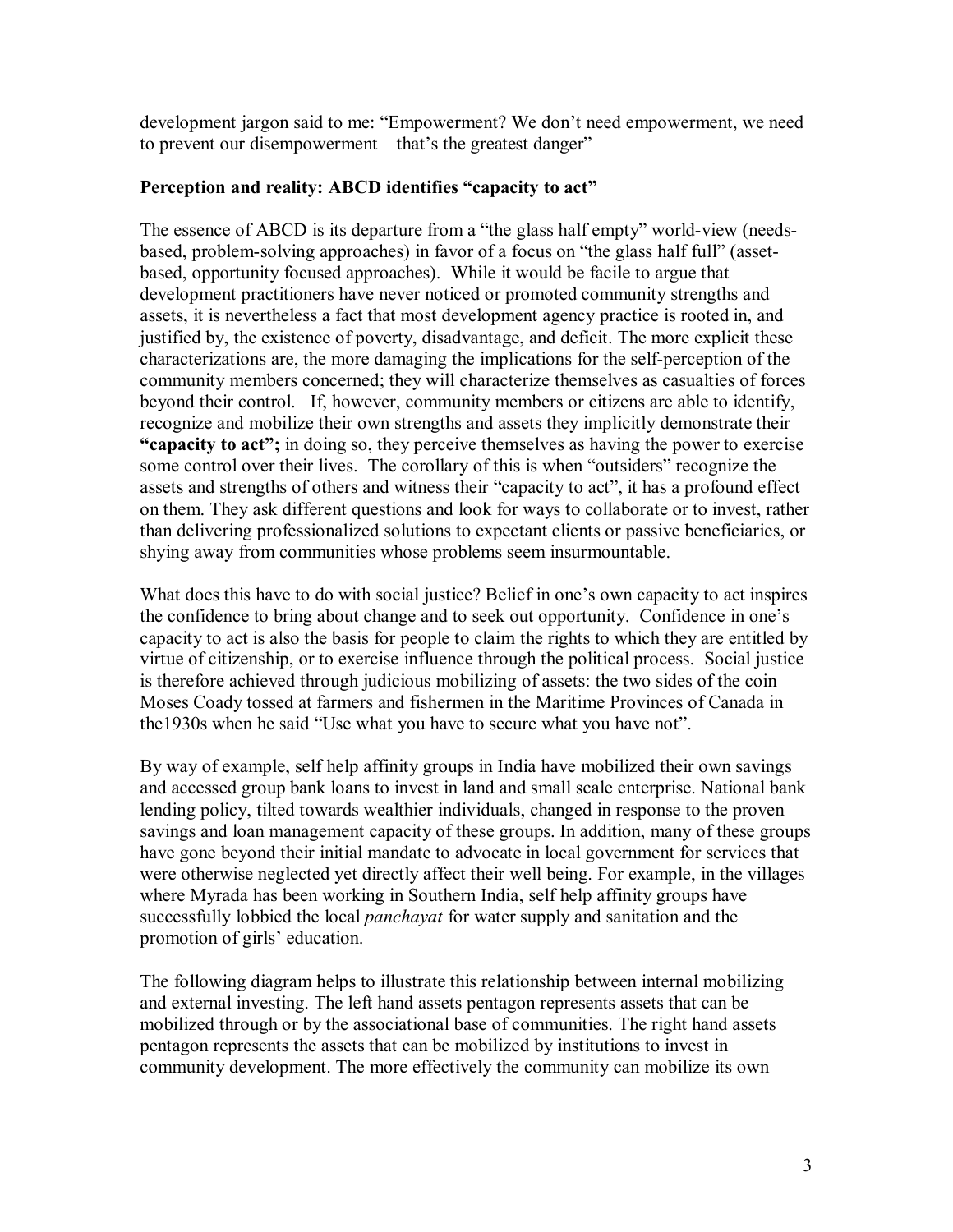development jargon said to me: "Empowerment? We don't need empowerment, we need to prevent our disempowerment – that's the greatest danger"

# **Perception and reality: ABCD identifies "capacity to act"**

The essence of ABCD is its departure from a "the glass half empty" world-view (needsbased, problem-solving approaches) in favor of a focus on "the glass half full" (assetbased, opportunity focused approaches). While it would be facile to argue that development practitioners have never noticed or promoted community strengths and assets, it is nevertheless a fact that most development agency practice is rooted in, and justified by, the existence of poverty, disadvantage, and deficit. The more explicit these characterizations are, the more damaging the implications for the self-perception of the community members concerned; they will characterize themselves as casualties of forces beyond their control. If, however, community members or citizens are able to identify, recognize and mobilize their own strengths and assets they implicitly demonstrate their **"capacity to act";** in doing so, they perceive themselves as having the power to exercise some control over their lives. The corollary of this is when "outsiders" recognize the assets and strengths of others and witness their "capacity to act", it has a profound effect on them. They ask different questions and look for ways to collaborate or to invest, rather than delivering professionalized solutions to expectant clients or passive beneficiaries, or shying away from communities whose problems seem insurmountable.

What does this have to do with social justice? Belief in one's own capacity to act inspires the confidence to bring about change and to seek out opportunity. Confidence in one's capacity to act is also the basis for people to claim the rights to which they are entitled by virtue of citizenship, or to exercise influence through the political process. Social justice is therefore achieved through judicious mobilizing of assets: the two sides of the coin Moses Coady tossed at farmers and fishermen in the Maritime Provinces of Canada in the1930s when he said "Use what you have to secure what you have not".

By way of example, self help affinity groups in India have mobilized their own savings and accessed group bank loans to invest in land and small scale enterprise. National bank lending policy, tilted towards wealthier individuals, changed in response to the proven savings and loan management capacity of these groups. In addition, many of these groups have gone beyond their initial mandate to advocate in local government for services that were otherwise neglected yet directly affect their well being. For example, in the villages where Myrada has been working in Southern India, self help affinity groups have successfully lobbied the local *panchayat* for water supply and sanitation and the promotion of girls' education.

The following diagram helps to illustrate this relationship between internal mobilizing and external investing. The left hand assets pentagon represents assets that can be mobilized through or by the associational base of communities. The right hand assets pentagon represents the assets that can be mobilized by institutions to invest in community development. The more effectively the community can mobilize its own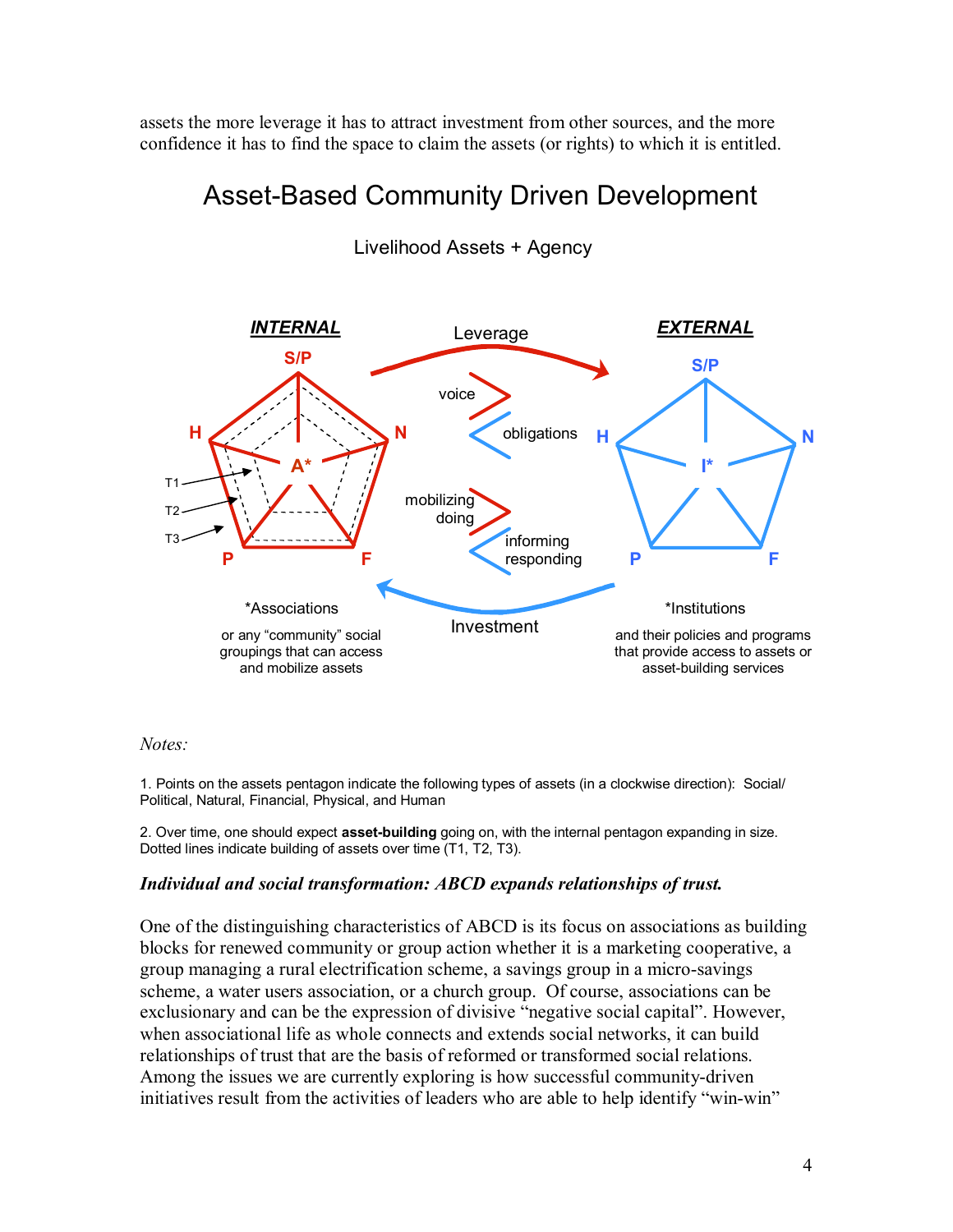assets the more leverage it has to attract investment from other sources, and the more confidence it has to find the space to claim the assets (or rights) to which it is entitled.

# Asset-Based Community Driven Development



# Livelihood Assets + Agency

### *Notes:*

1. Points on the assets pentagon indicate the following types of assets (in a clockwise direction): Social/ Political, Natural, Financial, Physical, and Human

2. Over time, one should expect **assetbuilding** going on, with the internal pentagon expanding in size. Dotted lines indicate building of assets over time (T1, T2, T3).

### *Individual and social transformation: ABCD expands relationships of trust.*

One of the distinguishing characteristics of ABCD is its focus on associations as building blocks for renewed community or group action whether it is a marketing cooperative, a group managing a rural electrification scheme, a savings group in a micro-savings scheme, a water users association, or a church group. Of course, associations can be exclusionary and can be the expression of divisive "negative social capital". However, when associational life as whole connects and extends social networks, it can build relationships of trust that are the basis of reformed or transformed social relations. Among the issues we are currently exploring is how successful community-driven initiatives result from the activities of leaders who are able to help identify "win-win"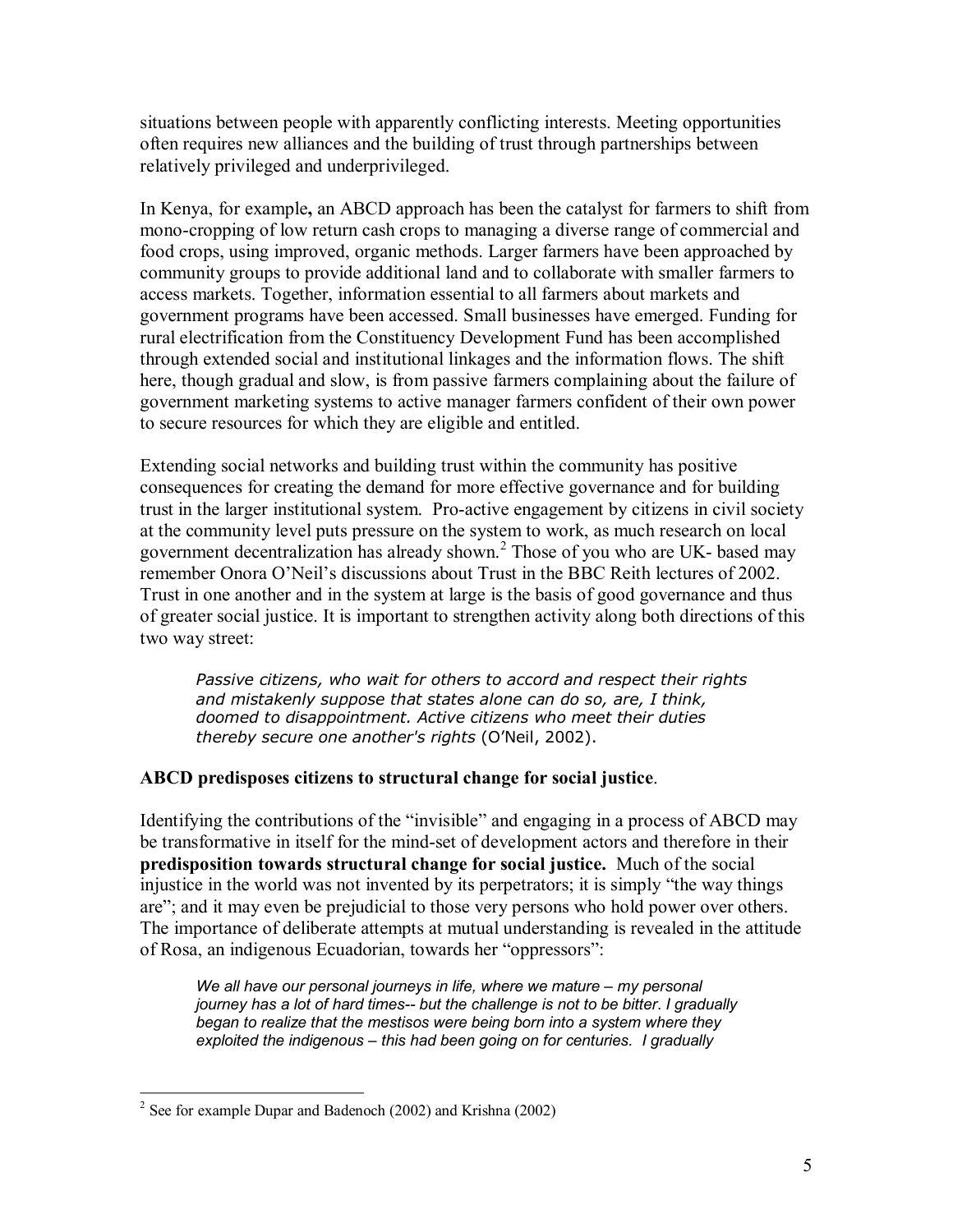situations between people with apparently conflicting interests. Meeting opportunities often requires new alliances and the building of trust through partnerships between relatively privileged and underprivileged.

In Kenya, for example**,** an ABCD approach has been the catalyst for farmers to shift from mono-cropping of low return cash crops to managing a diverse range of commercial and food crops, using improved, organic methods. Larger farmers have been approached by community groups to provide additional land and to collaborate with smaller farmers to access markets. Together, information essential to all farmers about markets and government programs have been accessed. Small businesses have emerged. Funding for rural electrification from the Constituency Development Fund has been accomplished through extended social and institutional linkages and the information flows. The shift here, though gradual and slow, is from passive farmers complaining about the failure of government marketing systems to active manager farmers confident of their own power to secure resources for which they are eligible and entitled.

Extending social networks and building trust within the community has positive consequences for creating the demand for more effective governance and for building trust in the larger institutional system. Pro-active engagement by citizens in civil society at the community level puts pressure on the system to work, as much research on local government decentralization has already shown.<sup>2</sup> Those of you who are UK- based may remember Onora O'Neil's discussions about Trust in the BBC Reith lectures of 2002. Trust in one another and in the system at large is the basis of good governance and thus of greater social justice. It is important to strengthen activity along both directions of this two way street:

*Passive citizens, who wait for others to accord and respect their rights and mistakenly suppose that states alone can do so, are, I think, doomed to disappointment. Active citizens who meet their duties thereby secure one another's rights* (O'Neil, 2002).

# **ABCD predisposes citizens to structural change for social justice**.

Identifying the contributions of the "invisible" and engaging in a process of ABCD may be transformative in itself for the mind-set of development actors and therefore in their **predisposition towards structural change for social justice.** Much of the social injustice in the world was not invented by its perpetrators; it is simply "the way things are"; and it may even be prejudicial to those very persons who hold power over others. The importance of deliberate attempts at mutual understanding is revealed in the attitude of Rosa, an indigenous Ecuadorian, towards her "oppressors":

*We all have our personal journeys in life, where we mature – my personal journey has a lot of hard times-- but the challenge is not to be bitter. I gradually began to realize that the mestisos were being born into a system where they exploited the indigenous – this had been going on for centuries. I gradually*

<sup>&</sup>lt;sup>2</sup> See for example Dupar and Badenoch (2002) and Krishna (2002)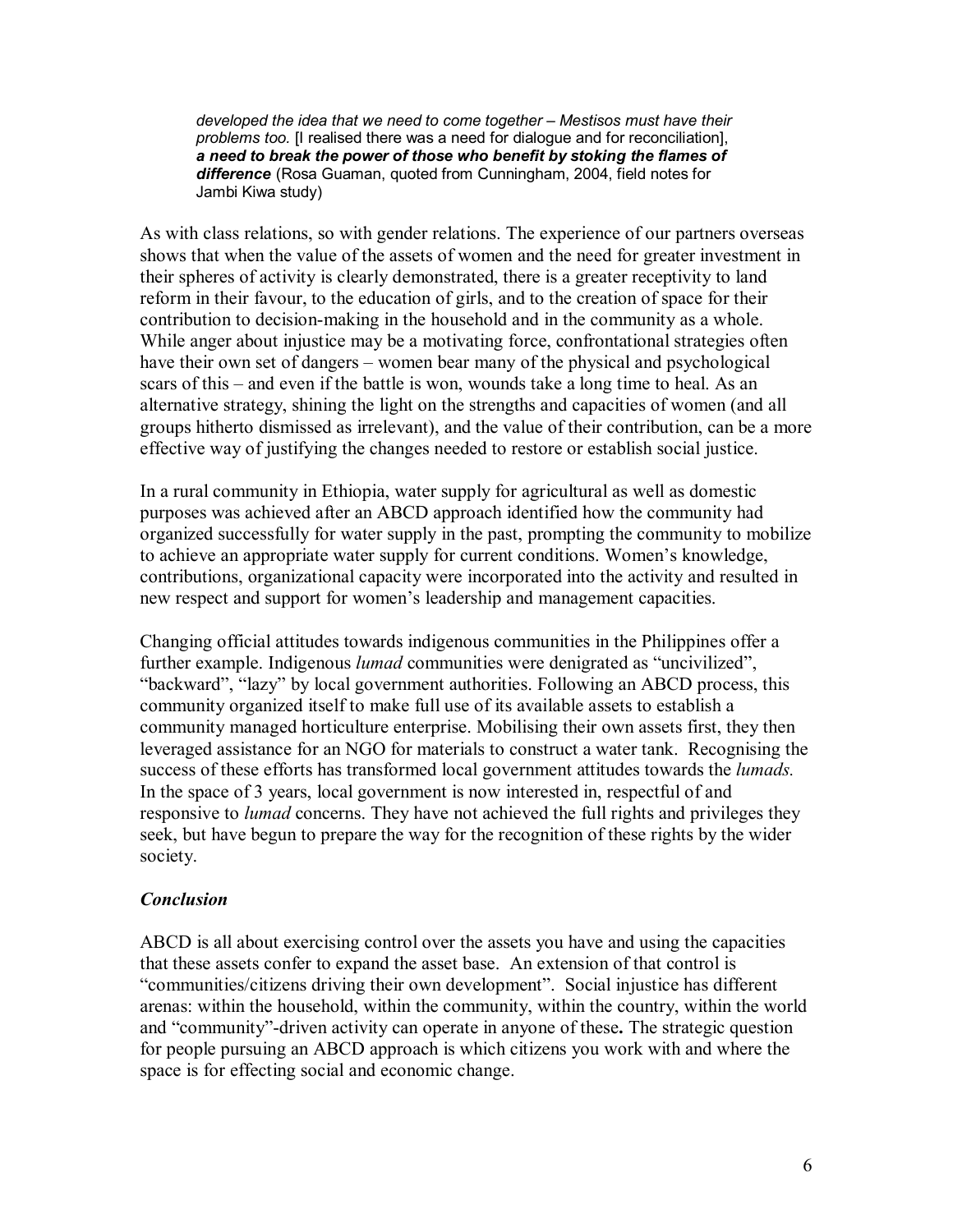*developed the idea that we need to come together – Mestisos must have their problems too.* [I realised there was a need for dialogue and for reconciliation], *a need to break the power of those who benefit by stoking the flames of difference* (Rosa Guaman, quoted from Cunningham, 2004, field notes for Jambi Kiwa study)

As with class relations, so with gender relations. The experience of our partners overseas shows that when the value of the assets of women and the need for greater investment in their spheres of activity is clearly demonstrated, there is a greater receptivity to land reform in their favour, to the education of girls, and to the creation of space for their contribution to decision-making in the household and in the community as a whole. While anger about injustice may be a motivating force, confrontational strategies often have their own set of dangers – women bear many of the physical and psychological scars of this – and even if the battle is won, wounds take a long time to heal. As an alternative strategy, shining the light on the strengths and capacities of women (and all groups hitherto dismissed as irrelevant), and the value of their contribution, can be a more effective way of justifying the changes needed to restore or establish social justice.

In a rural community in Ethiopia, water supply for agricultural as well as domestic purposes was achieved after an ABCD approach identified how the community had organized successfully for water supply in the past, prompting the community to mobilize to achieve an appropriate water supply for current conditions. Women's knowledge, contributions, organizational capacity were incorporated into the activity and resulted in new respect and support for women's leadership and management capacities.

Changing official attitudes towards indigenous communities in the Philippines offer a further example. Indigenous *lumad* communities were denigrated as "uncivilized", "backward", "lazy" by local government authorities. Following an ABCD process, this community organized itself to make full use of its available assets to establish a community managed horticulture enterprise. Mobilising their own assets first, they then leveraged assistance for an NGO for materials to construct a water tank. Recognising the success of these efforts has transformed local government attitudes towards the *lumads.* In the space of 3 years, local government is now interested in, respectful of and responsive to *lumad* concerns. They have not achieved the full rights and privileges they seek, but have begun to prepare the way for the recognition of these rights by the wider society.

# *Conclusion*

ABCD is all about exercising control over the assets you have and using the capacities that these assets confer to expand the asset base. An extension of that control is "communities/citizens driving their own development". Social injustice has different arenas: within the household, within the community, within the country, within the world and "community"-driven activity can operate in anyone of these. The strategic question for people pursuing an ABCD approach is which citizens you work with and where the space is for effecting social and economic change.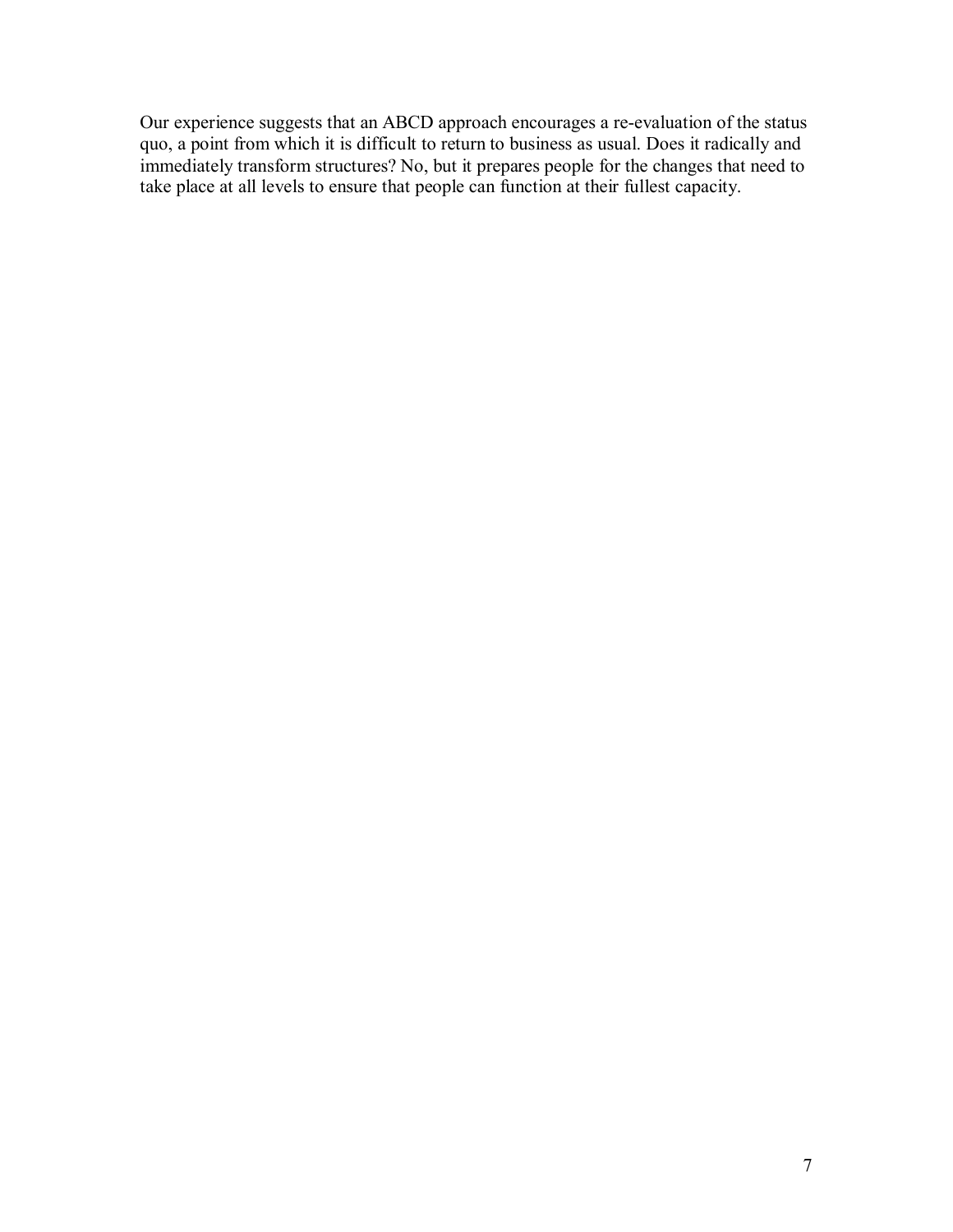Our experience suggests that an ABCD approach encourages a re-evaluation of the status quo, a point from which it is difficult to return to business as usual. Does it radically and immediately transform structures? No, but it prepares people for the changes that need to take place at all levels to ensure that people can function at their fullest capacity.